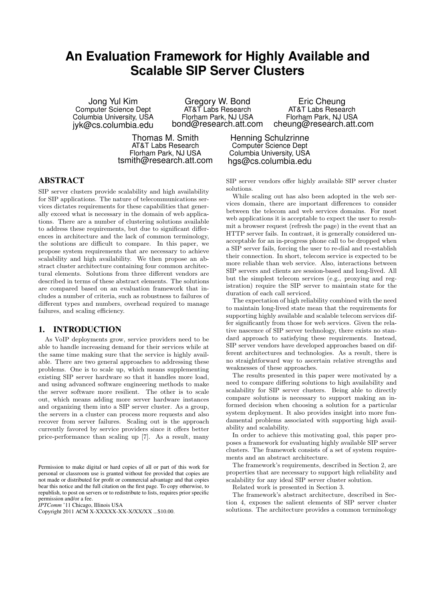# **An Evaluation Framework for Highly Available and Scalable SIP Server Clusters**

Jong Yul Kim Computer Science Dept Columbia University, USA jyk@cs.columbia.edu

Gregory W. Bond AT&T Labs Research Florham Park, NJ USA bond@research.att.com

Eric Cheung AT&T Labs Research Florham Park, NJ USA cheung@research.att.com

Thomas M. Smith AT&T Labs Research Florham Park, NJ USA tsmith@research.att.com

Henning Schulzrinne Computer Science Dept Columbia University, USA hgs@cs.columbia.edu

## ABSTRACT

SIP server clusters provide scalability and high availability for SIP applications. The nature of telecommunications services dictates requirements for these capabilities that generally exceed what is necessary in the domain of web applications. There are a number of clustering solutions available to address these requirements, but due to significant differences in architecture and the lack of common terminology, the solutions are difficult to compare. In this paper, we propose system requirements that are necessary to achieve scalability and high availability. We then propose an abstract cluster architecture containing four common architectural elements. Solutions from three different vendors are described in terms of these abstract elements. The solutions are compared based on an evaluation framework that includes a number of criteria, such as robustness to failures of different types and numbers, overhead required to manage failures, and scaling efficiency.

#### 1. INTRODUCTION

As VoIP deployments grow, service providers need to be able to handle increasing demand for their services while at the same time making sure that the service is highly available. There are two general approaches to addressing these problems. One is to scale up, which means supplementing existing SIP server hardware so that it handles more load, and using advanced software engineering methods to make the server software more resilient. The other is to scale out, which means adding more server hardware instances and organizing them into a SIP server cluster. As a group, the servers in a cluster can process more requests and also recover from server failures. Scaling out is the approach currently favored by service providers since it offers better price-performance than scaling up [7]. As a result, many

Permission to make digital or hard copies of all or part of this work for personal or classroom use is granted without fee provided that copies are not made or distributed for profit or commercial advantage and that copies bear this notice and the full citation on the first page. To copy otherwise, to republish, to post on servers or to redistribute to lists, requires prior specific permission and/or a fee.

*IPTComm* '11 Chicago, Illinois USA

SIP server vendors offer highly available SIP server cluster solutions.

While scaling out has also been adopted in the web services domain, there are important differences to consider between the telecom and web services domains. For most web applications it is acceptable to expect the user to resubmit a browser request (refresh the page) in the event that an HTTP server fails. In contrast, it is generally considered unacceptable for an in-progress phone call to be dropped when a SIP server fails, forcing the user to re-dial and re-establish their connection. In short, telecom service is expected to be more reliable than web service. Also, interactions between SIP servers and clients are session-based and long-lived. All but the simplest telecom services (e.g., proxying and registration) require the SIP server to maintain state for the duration of each call serviced.

The expectation of high reliability combined with the need to maintain long-lived state mean that the requirements for supporting highly available and scalable telecom services differ significantly from those for web services. Given the relative nascence of SIP server technology, there exists no standard approach to satisfying these requirements. Instead, SIP server vendors have developed approaches based on different architectures and technologies. As a result, there is no straightforward way to ascertain relative strengths and weaknesses of these approaches.

The results presented in this paper were motivated by a need to compare differing solutions to high availability and scalability for SIP server clusters. Being able to directly compare solutions is necessary to support making an informed decision when choosing a solution for a particular system deployment. It also provides insight into more fundamental problems associated with supporting high availability and scalability.

In order to achieve this motivating goal, this paper proposes a framework for evaluating highly available SIP server clusters. The framework consists of a set of system requirements and an abstract architecture.

The framework's requirements, described in Section 2, are properties that are necessary to support high reliability and scalability for any ideal SIP server cluster solution.

Related work is presented in Section 3.

The framework's abstract architecture, described in Section 4, exposes the salient elements of SIP server cluster solutions. The architecture provides a common terminology

Copyright 2011 ACM X-XXXXX-XX-X/XX/XX ...\$10.00.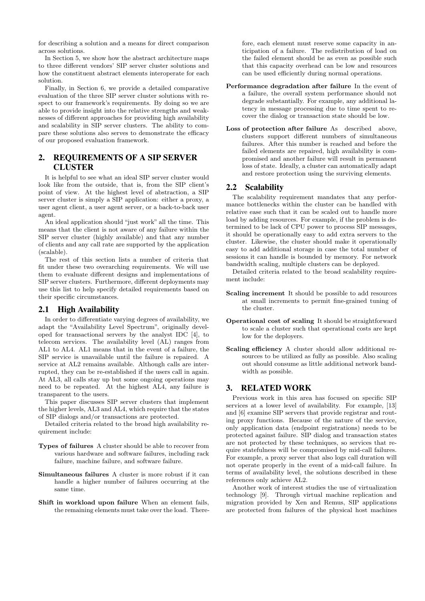for describing a solution and a means for direct comparison across solutions.

In Section 5, we show how the abstract architecture maps to three different vendors' SIP server cluster solutions and how the constituent abstract elements interoperate for each solution.

Finally, in Section 6, we provide a detailed comparative evaluation of the three SIP server cluster solutions with respect to our framework's requirements. By doing so we are able to provide insight into the relative strengths and weaknesses of different approaches for providing high availability and scalability in SIP server clusters. The ability to compare these solutions also serves to demonstrate the efficacy of our proposed evaluation framework.

## 2. REQUIREMENTS OF A SIP SERVER **CLUSTER**

It is helpful to see what an ideal SIP server cluster would look like from the outside, that is, from the SIP client's point of view. At the highest level of abstraction, a SIP server cluster is simply a SIP application: either a proxy, a user agent client, a user agent server, or a back-to-back user agent.

An ideal application should "just work" all the time. This means that the client is not aware of any failure within the SIP server cluster (highly available) and that any number of clients and any call rate are supported by the application (scalable).

The rest of this section lists a number of criteria that fit under these two overarching requirements. We will use them to evaluate different designs and implementations of SIP server clusters. Furthermore, different deployments may use this list to help specify detailed requirements based on their specific circumstances.

## 2.1 High Availability

In order to differentiate varying degrees of availability, we adapt the "Availability Level Spectrum", originally developed for transactional servers by the analyst IDC [4], to telecom services. The availability level (AL) ranges from AL1 to AL4. AL1 means that in the event of a failure, the SIP service is unavailable until the failure is repaired. A service at AL2 remains available. Although calls are interrupted, they can be re-established if the users call in again. At AL3, all calls stay up but some ongoing operations may need to be repeated. At the highest AL4, any failure is transparent to the users.

This paper discusses SIP server clusters that implement the higher levels, AL3 and AL4, which require that the states of SIP dialogs and/or transactions are protected.

Detailed criteria related to the broad high availability requirement include:

- Types of failures A cluster should be able to recover from various hardware and software failures, including rack failure, machine failure, and software failure.
- Simultaneous failures A cluster is more robust if it can handle a higher number of failures occurring at the same time.
- Shift in workload upon failure When an element fails, the remaining elements must take over the load. There-

fore, each element must reserve some capacity in anticipation of a failure. The redistribution of load on the failed element should be as even as possible such that this capacity overhead can be low and resources can be used efficiently during normal operations.

- Performance degradation after failure In the event of a failure, the overall system performance should not degrade substantially. For example, any additional latency in message processing due to time spent to recover the dialog or transaction state should be low.
- Loss of protection after failure As described above, clusters support different numbers of simultaneous failures. After this number is reached and before the failed elements are repaired, high availability is compromised and another failure will result in permanent loss of state. Ideally, a cluster can automatically adapt and restore protection using the surviving elements.

## 2.2 Scalability

The scalability requirement mandates that any performance bottlenecks within the cluster can be handled with relative ease such that it can be scaled out to handle more load by adding resources. For example, if the problem is determined to be lack of CPU power to process SIP messages, it should be operationally easy to add extra servers to the cluster. Likewise, the cluster should make it operationally easy to add additional storage in case the total number of sessions it can handle is bounded by memory. For network bandwidth scaling, multiple clusters can be deployed.

Detailed criteria related to the broad scalability requirement include:

- Scaling increment It should be possible to add resources at small increments to permit fine-grained tuning of the cluster.
- Operational cost of scaling It should be straightforward to scale a cluster such that operational costs are kept low for the deployers.
- Scaling efficiency A cluster should allow additional resources to be utilized as fully as possible. Also scaling out should consume as little additional network bandwidth as possible.

## 3. RELATED WORK

Previous work in this area has focused on specific SIP services at a lower level of availability. For example, [13] and [6] examine SIP servers that provide registrar and routing proxy functions. Because of the nature of the service, only application data (endpoint registrations) needs to be protected against failure. SIP dialog and transaction states are not protected by these techniques, so services that require statefulness will be compromised by mid-call failures. For example, a proxy server that also logs call duration will not operate properly in the event of a mid-call failure. In terms of availability level, the solutions described in these references only achieve AL2.

Another work of interest studies the use of virtualization technology [9]. Through virtual machine replication and migration provided by Xen and Remus, SIP applications are protected from failures of the physical host machines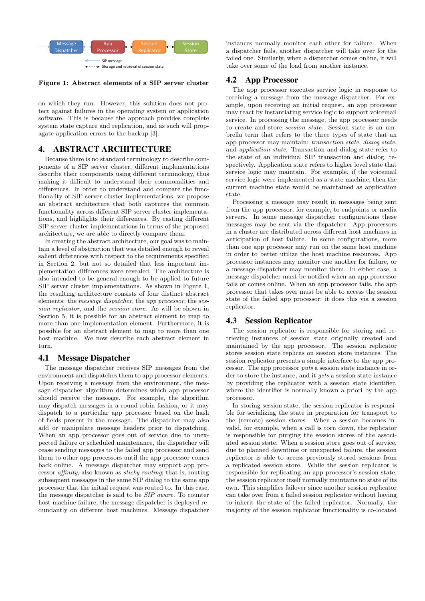

Figure 1: Abstract elements of a SIP server cluster

on which they run. However, this solution does not protect against failures in the operating system or application software. This is because the approach provides complete system state capture and replication, and as such will propagate application errors to the backup [3].

# 4. ABSTRACT ARCHITECTURE

Because there is no standard terminology to describe components of a SIP server cluster, different implementations describe their components using different terminology, thus making it difficult to understand their commonalities and differences. In order to understand and compare the functionality of SIP server cluster implementations, we propose an abstract architecture that both captures the common functionality across different SIP server cluster implementations, and highlights their differences. By casting different SIP server cluster implementations in terms of the proposed architecture, we are able to directly compare them.

In creating the abstract architecture, our goal was to maintain a level of abstraction that was detailed enough to reveal salient differences with respect to the requirements specified in Section 2, but not so detailed that less important implementation differences were revealed. The architecture is also intended to be general enough to be applied to future SIP server cluster implementations. As shown in Figure 1, the resulting architecture consists of four distinct abstract elements: the message dispatcher, the app processor, the session replicator, and the session store. As will be shown in Section 5, it is possible for an abstract element to map to more than one implementation element. Furthermore, it is possible for an abstract element to map to more than one host machine. We now describe each abstract element in turn.

## 4.1 Message Dispatcher

The message dispatcher receives SIP messages from the environment and dispatches them to app processor elements. Upon receiving a message from the environment, the message dispatcher algorithm determines which app processor should receive the message. For example, the algorithm may dispatch messages in a round-robin fashion, or it may dispatch to a particular app processor based on the hash of fields present in the message. The dispatcher may also add or manipulate message headers prior to dispatching. When an app processor goes out of service due to unexpected failure or scheduled maintenance, the dispatcher will cease sending messages to the failed app processor and send them to other app processors until the app processor comes back online. A message dispatcher may support app processor affinity, also known as sticky routing; that is, routing subsequent messages in the same SIP dialog to the same app processor that the initial request was routed to. In this case, the message dispatcher is said to be SIP aware. To counter host machine failure, the message dispatcher is deployed redundantly on different host machines. Message dispatcher instances normally monitor each other for failure. When a dispatcher fails, another dispatcher will take over for the failed one. Similarly, when a dispatcher comes online, it will take over some of the load from another instance.

# 4.2 App Processor

The app processor executes service logic in response to receiving a message from the message dispatcher. For example, upon receiving an initial request, an app processor may react by instantiating service logic to support voicemail service. In processing the message, the app processor needs to create and store session state. Session state is an umbrella term that refers to the three types of state that an app processor may maintain: transaction state, dialog state, and application state. Transaction and dialog state refer to the state of an individual SIP transaction and dialog, respectively. Application state refers to higher level state that service logic may maintain. For example, if the voicemail service logic were implemented as a state machine, then the current machine state would be maintained as application state.

Processing a message may result in messages being sent from the app processor, for example, to endpoints or media servers. In some message dispatcher configurations these messages may be sent via the dispatcher. App processors in a cluster are distributed across different host machines in anticipation of host failure. In some configurations, more than one app processor may run on the same host machine in order to better utilize the host machine resources. App processor instances may monitor one another for failure, or a message dispatcher may monitor them. In either case, a message dispatcher must be notified when an app processor fails or comes online. When an app processor fails, the app processor that takes over must be able to access the session state of the failed app processor; it does this via a session replicator.

## 4.3 Session Replicator

The session replicator is responsible for storing and retrieving instances of session state originally created and maintained by the app processor. The session replicator stores session state replicas on session store instances. The session replicator presents a simple interface to the app processor. The app processor puts a session state instance in order to store the instance, and it *gets* a session state instance by providing the replicator with a session state identifier, where the identifier is normally known a priori by the app processor.

In storing session state, the session replicator is responsible for serializing the state in preparation for transport to the (remote) session stores. When a session becomes invalid, for example, when a call is torn down, the replicator is responsible for purging the session stores of the associated session state. When a session store goes out of service, due to planned downtime or unexpected failure, the session replicator is able to access previously stored sessions from a replicated session store. While the session replicator is responsible for replicating an app processor's session state, the session replicator itself normally maintains no state of its own. This simplifies failover since another session replicator can take over from a failed session replicator without having to inherit the state of the failed replicator. Normally, the majority of the session replicator functionality is co-located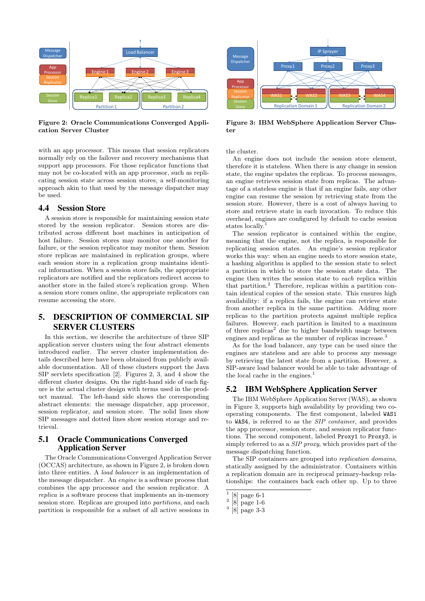

Figure 2: Oracle Communications Converged Application Server Cluster

with an app processor. This means that session replicators normally rely on the failover and recovery mechanisms that support app processors. For those replicator functions that may not be co-located with an app processor, such as replicating session state across session stores, a self-monitoring approach akin to that used by the message dispatcher may be used.

### 4.4 Session Store

A session store is responsible for maintaining session state stored by the session replicator. Session stores are distributed across different host machines in anticipation of host failure. Session stores may monitor one another for failure, or the session replicator may monitor them. Session store replicas are maintained in replication groups, where each session store in a replication group maintains identical information. When a session store fails, the appropriate replicators are notified and the replicators redirect access to another store in the failed store's replication group. When a session store comes online, the appropriate replicators can resume accessing the store.

# 5. DESCRIPTION OF COMMERCIAL SIP SERVER CLUSTERS

In this section, we describe the architecture of three SIP application server clusters using the four abstract elements introduced earlier. The server cluster implementation details described here have been obtained from publicly available documentation. All of these clusters support the Java SIP servlets specification [2]. Figures 2, 3, and 4 show the different cluster designs. On the right-hand side of each figure is the actual cluster design with terms used in the product manual. The left-hand side shows the corresponding abstract elements: the message dispatcher, app processor, session replicator, and session store. The solid lines show SIP messages and dotted lines show session storage and retrieval.

## 5.1 Oracle Communications Converged Application Server

The Oracle Communications Converged Application Server (OCCAS) architecture, as shown in Figure 2, is broken down into three entities. A load balancer is an implementation of the message dispatcher. An engine is a software process that combines the app processor and the session replicator. A replica is a software process that implements an in-memory session store. Replicas are grouped into partitions, and each partition is responsible for a subset of all active sessions in



Figure 3: IBM WebSphere Application Server Cluster

the cluster.

An engine does not include the session store element, therefore it is stateless. When there is any change in session state, the engine updates the replicas. To process messages, an engine retrieves session state from replicas. The advantage of a stateless engine is that if an engine fails, any other engine can resume the session by retrieving state from the session store. However, there is a cost of always having to store and retrieve state in each invocation. To reduce this overhead, engines are configured by default to cache session states locally.

The session replicator is contained within the engine, meaning that the engine, not the replica, is responsible for replicating session states. An engine's session replicator works this way: when an engine needs to store session state, a hashing algorithm is applied to the session state to select a partition in which to store the session state data. The engine then writes the session state to each replica within that partition.<sup>2</sup> Therefore, replicas within a partition contain identical copies of the session state. This ensures high availability: if a replica fails, the engine can retrieve state from another replica in the same partition. Adding more replicas to the partition protects against multiple replica failures. However, each partition is limited to a maximum of three replicas<sup>2</sup> due to higher bandwidth usage between engines and replicas as the number of replicas increase.<sup>3</sup>

As for the load balancer, any type can be used since the engines are stateless and are able to process any message by retrieving the latest state from a partition. However, a SIP-aware load balancer would be able to take advantage of the local cache in the engines.<sup>1</sup>

#### 5.2 IBM WebSphere Application Server

The IBM WebSphere Application Server (WAS), as shown in Figure 3, supports high availability by providing two cooperating components. The first component, labeled WAS1 to WAS4, is referred to as the SIP container, and provides the app processor, session store, and session replicator functions. The second component, labeled Proxy1 to Proxy3, is simply referred to as a *SIP proxy*, which provides part of the message dispatching function.

The SIP containers are grouped into replication domains, statically assigned by the administrator. Containers within a replication domain are in reciprocal primary-backup relationships: the containers back each other up. Up to three

3 [8] page 3-3

<sup>1</sup> [8] page 6-1

<sup>2</sup> [8] page 1-6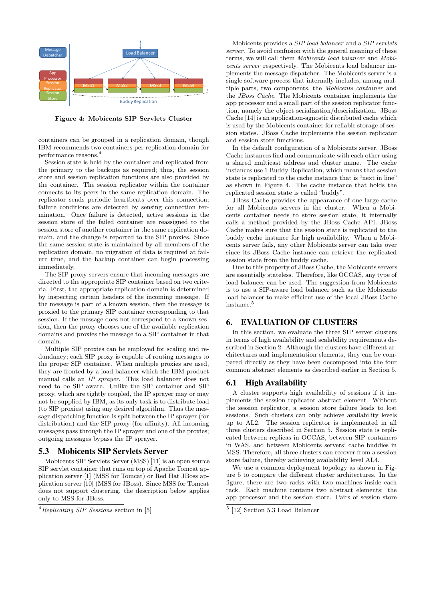

Figure 4: Mobicents SIP Servlets Cluster

containers can be grouped in a replication domain, though IBM recommends two containers per replication domain for performance reasons.<sup>4</sup>

Session state is held by the container and replicated from the primary to the backups as required; thus, the session store and session replication functions are also provided by the container. The session replicator within the container connects to its peers in the same replication domain. The replicator sends periodic heartbeats over this connection; failure conditions are detected by sensing connection termination. Once failure is detected, active sessions in the session store of the failed container are reassigned to the session store of another container in the same replication domain, and the change is reported to the SIP proxies. Since the same session state is maintained by all members of the replication domain, no migration of data is required at failure time, and the backup container can begin processing immediately.

The SIP proxy servers ensure that incoming messages are directed to the appropriate SIP container based on two criteria. First, the appropriate replication domain is determined by inspecting certain headers of the incoming message. If the message is part of a known session, then the message is proxied to the primary SIP container corresponding to that session. If the message does not correspond to a known session, then the proxy chooses one of the available replication domains and proxies the message to a SIP container in that domain.

Multiple SIP proxies can be employed for scaling and redundancy; each SIP proxy is capable of routing messages to the proper SIP container. When multiple proxies are used, they are fronted by a load balancer which the IBM product manual calls an IP sprayer. This load balancer does not need to be SIP aware. Unlike the SIP container and SIP proxy, which are tightly coupled, the IP sprayer may or may not be supplied by IBM, as its only task is to distribute load (to SIP proxies) using any desired algorithm. Thus the message dispatching function is split between the IP sprayer (for distribution) and the SIP proxy (for affinity). All incoming messages pass through the IP sprayer and one of the proxies; outgoing messages bypass the IP sprayer.

## 5.3 Mobicents SIP Servlets Server

Mobicents SIP Servlets Server (MSS) [11] is an open source SIP servlet container that runs on top of Apache Tomcat application server [1] (MSS for Tomcat) or Red Hat JBoss application server [10] (MSS for JBoss). Since MSS for Tomcat does not support clustering, the description below applies only to MSS for JBoss.

Mobicents provides a SIP load balancer and a SIP servlets server. To avoid confusion with the general meaning of these terms, we will call them Mobicents load balancer and Mobicents server respectively. The Mobicents load balancer implements the message dispatcher. The Mobicents server is a single software process that internally includes, among multiple parts, two components, the Mobicents container and the JBoss Cache. The Mobicents container implements the app processor and a small part of the session replicator function, namely the object serialization/deserialization. JBoss Cache [14] is an application-agnostic distributed cache which is used by the Mobicents container for reliable storage of session states. JBoss Cache implements the session replicator and session store functions.

In the default configuration of a Mobicents server, JBoss Cache instances find and communicate with each other using a shared multicast address and cluster name. The cache instances use 1 Buddy Replication, which means that session state is replicated to the cache instance that is "next in line" as shown in Figure 4. The cache instance that holds the replicated session state is called "buddy".

JBoss Cache provides the appearance of one large cache for all Mobicents servers in the cluster. When a Mobicents container needs to store session state, it internally calls a method provided by the JBoss Cache API. JBoss Cache makes sure that the session state is replicated to the buddy cache instance for high availability. When a Mobicents server fails, any other Mobicents server can take over since its JBoss Cache instance can retrieve the replicated session state from the buddy cache.

Due to this property of JBoss Cache, the Mobicents servers are essentially stateless. Therefore, like OCCAS, any type of load balancer can be used. The suggestion from Mobicents is to use a SIP-aware load balancer such as the Mobicents load balancer to make efficient use of the local JBoss Cache instance.<sup>5</sup>

## 6. EVALUATION OF CLUSTERS

In this section, we evaluate the three SIP server clusters in terms of high availability and scalability requirements described in Section 2. Although the clusters have different architectures and implementation elements, they can be compared directly as they have been decomposed into the four common abstract elements as described earlier in Section 5.

#### 6.1 High Availability

A cluster supports high availability of sessions if it implements the session replicator abstract element. Without the session replicator, a session store failure leads to lost sessions. Such clusters can only achieve availability levels up to AL2. The session replicator is implemented in all three clusters described in Section 5. Session state is replicated between replicas in OCCAS, between SIP containers in WAS, and between Mobicents servers' cache buddies in MSS. Therefore, all three clusters can recover from a session store failure, thereby achieving availability level AL4.

We use a common deployment topology as shown in Figure 5 to compare the different cluster architectures. In the figure, there are two racks with two machines inside each rack. Each machine contains two abstract elements: the app processor and the session store. Pairs of session store

 $^{4}$ Replicating SIP Sessions section in [5]

<sup>5</sup> [12] Section 5.3 Load Balancer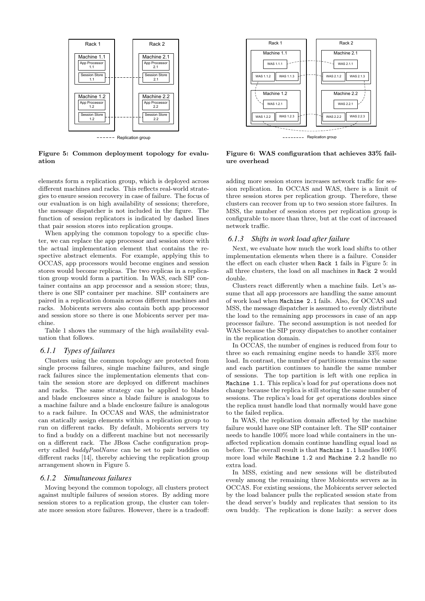

Figure 5: Common deployment topology for evaluation



Figure 6: WAS configuration that achieves 33% failure overhead

elements form a replication group, which is deployed across different machines and racks. This reflects real-world strategies to ensure session recovery in case of failure. The focus of our evaluation is on high availability of sessions; therefore, the message dispatcher is not included in the figure. The function of session replicators is indicated by dashed lines that pair session stores into replication groups.

When applying the common topology to a specific cluster, we can replace the app processor and session store with the actual implementation element that contains the respective abstract elements. For example, applying this to OCCAS, app processors would become engines and session stores would become replicas. The two replicas in a replication group would form a partition. In WAS, each SIP container contains an app processor and a session store; thus, there is one SIP container per machine. SIP containers are paired in a replication domain across different machines and racks. Mobicents servers also contain both app processor and session store so there is one Mobicents server per machine.

Table 1 shows the summary of the high availability evaluation that follows.

#### *6.1.1 Types of failures*

Clusters using the common topology are protected from single process failures, single machine failures, and single rack failures since the implementation elements that contain the session store are deployed on different machines and racks. The same strategy can be applied to blades and blade enclosures since a blade failure is analogous to a machine failure and a blade enclosure failure is analogous to a rack failure. In OCCAS and WAS, the administrator can statically assign elements within a replication group to run on different racks. By default, Mobicents servers try to find a buddy on a different machine but not necessarily on a different rack. The JBoss Cache configuration property called buddyPoolName can be set to pair buddies on different racks [14], thereby achieving the replication group arrangement shown in Figure 5.

#### *6.1.2 Simultaneous failures*

Moving beyond the common topology, all clusters protect against multiple failures of session stores. By adding more session stores to a replication group, the cluster can tolerate more session store failures. However, there is a tradeoff:

adding more session stores increases network traffic for session replication. In OCCAS and WAS, there is a limit of three session stores per replication group. Therefore, these clusters can recover from up to two session store failures. In MSS, the number of session stores per replication group is configurable to more than three, but at the cost of increased network traffic.

### *6.1.3 Shifts in work load after failure*

Next, we evaluate how much the work load shifts to other implementation elements when there is a failure. Consider the effect on each cluster when Rack 1 fails in Figure 5: in all three clusters, the load on all machines in Rack 2 would double.

Clusters react differently when a machine fails. Let's assume that all app processors are handling the same amount of work load when Machine 2.1 fails. Also, for OCCAS and MSS, the message dispatcher is assumed to evenly distribute the load to the remaining app processors in case of an app processor failure. The second assumption is not needed for WAS because the SIP proxy dispatches to another container in the replication domain.

In OCCAS, the number of engines is reduced from four to three so each remaining engine needs to handle 33% more load. In contrast, the number of partitions remains the same and each partition continues to handle the same number of sessions. The top partition is left with one replica in Machine 1.1. This replica's load for put operations does not change because the replica is still storing the same number of sessions. The replica's load for get operations doubles since the replica must handle load that normally would have gone to the failed replica.

In WAS, the replication domain affected by the machine failure would have one SIP container left. The SIP container needs to handle 100% more load while containers in the unaffected replication domain continue handling equal load as before. The overall result is that Machine 1.1 handles 100% more load while Machine 1.2 and Machine 2.2 handle no extra load.

In MSS, existing and new sessions will be distributed evenly among the remaining three Mobicents servers as in OCCAS. For existing sessions, the Mobicents server selected by the load balancer pulls the replicated session state from the dead server's buddy and replicates that session to its own buddy. The replication is done lazily: a server does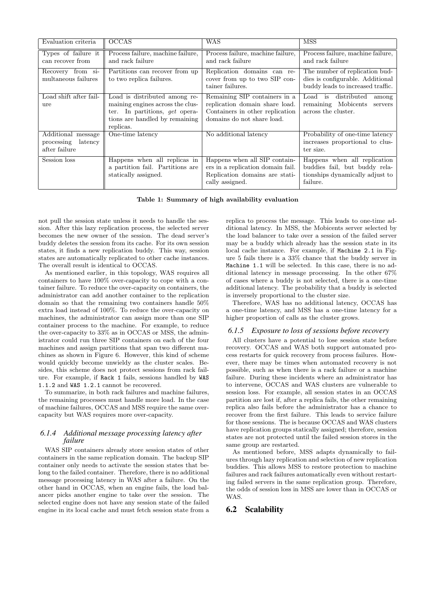| Evaluation criteria                                          | <b>OCCAS</b>                                                                                                                                              | WAS                                                                                                                              | MSS                                                                                                          |
|--------------------------------------------------------------|-----------------------------------------------------------------------------------------------------------------------------------------------------------|----------------------------------------------------------------------------------------------------------------------------------|--------------------------------------------------------------------------------------------------------------|
| Types of failure it<br>can recover from                      | Process failure, machine failure,<br>and rack failure                                                                                                     | Process failure, machine failure,<br>and rack failure                                                                            | Process failure, machine failure,<br>and rack failure                                                        |
| Recovery from si-<br>multaneous failures                     | Partitions can recover from up<br>to two replica failures.                                                                                                | Replication domains can re-<br>cover from up to two SIP con-<br>tainer failures.                                                 | The number of replication bud-<br>dies is configurable. Additional<br>buddy leads to increased traffic.      |
| Load shift after fail-<br>ure                                | Load is distributed among re-<br>maining engines across the clus-<br>ter. In partitions, <i>get</i> opera-<br>tions are handled by remaining<br>replicas. | Remaining SIP containers in a<br>replication domain share load.<br>Containers in other replication<br>domains do not share load. | Load is distributed<br>among<br>remaining Mobicents<br>servers<br>across the cluster.                        |
| Additional message<br>latency<br>processing<br>after failure | One-time latency                                                                                                                                          | No additional latency                                                                                                            | Probability of one-time latency<br>increases proportional to clus-<br>ter size.                              |
| Session loss                                                 | Happens when all replicas in<br>a partition fail. Partitions are<br>statically assigned.                                                                  | Happens when all SIP contain-<br>ers in a replication domain fail.<br>Replication domains are stati-<br>cally assigned.          | Happens when all replication<br>buddies fail, but buddy rela-<br>tionships dynamically adjust to<br>failure. |

Table 1: Summary of high availability evaluation

not pull the session state unless it needs to handle the session. After this lazy replication process, the selected server becomes the new owner of the session. The dead server's buddy deletes the session from its cache. For its own session states, it finds a new replication buddy. This way, session states are automatically replicated to other cache instances. The overall result is identical to OCCAS.

As mentioned earlier, in this topology, WAS requires all containers to have 100% over-capacity to cope with a container failure. To reduce the over-capacity on containers, the administrator can add another container to the replication domain so that the remaining two containers handle 50% extra load instead of 100%. To reduce the over-capacity on machines, the administrator can assign more than one SIP container process to the machine. For example, to reduce the over-capacity to 33% as in OCCAS or MSS, the administrator could run three SIP containers on each of the four machines and assign partitions that span two different machines as shown in Figure 6. However, this kind of scheme would quickly become unwieldy as the cluster scales. Besides, this scheme does not protect sessions from rack failure. For example, if Rack 1 fails, sessions handled by WAS 1.1.2 and WAS 1.2.1 cannot be recovered.

To summarize, in both rack failures and machine failures, the remaining processes must handle more load. In the case of machine failures, OCCAS and MSS require the same overcapacity but WAS requires more over-capacity.

#### *6.1.4 Additional message processing latency after failure*

WAS SIP containers already store session states of other containers in the same replication domain. The backup SIP container only needs to activate the session states that belong to the failed container. Therefore, there is no additional message processing latency in WAS after a failure. On the other hand in OCCAS, when an engine fails, the load balancer picks another engine to take over the session. The selected engine does not have any session state of the failed engine in its local cache and must fetch session state from a replica to process the message. This leads to one-time additional latency. In MSS, the Mobicents server selected by the load balancer to take over a session of the failed server may be a buddy which already has the session state in its local cache instance. For example, if Machine 2.1 in Figure 5 fails there is a 33% chance that the buddy server in Machine 1.1 will be selected. In this case, there is no additional latency in message processing. In the other 67% of cases where a buddy is not selected, there is a one-time additional latency. The probability that a buddy is selected is inversely proportional to the cluster size.

Therefore, WAS has no additional latency, OCCAS has a one-time latency, and MSS has a one-time latency for a higher proportion of calls as the cluster grows.

#### *6.1.5 Exposure to loss of sessions before recovery*

All clusters have a potential to lose session state before recovery. OCCAS and WAS both support automated process restarts for quick recovery from process failures. However, there may be times when automated recovery is not possible, such as when there is a rack failure or a machine failure. During these incidents where an administrator has to intervene, OCCAS and WAS clusters are vulnerable to session loss. For example, all session states in an OCCAS partition are lost if, after a replica fails, the other remaining replica also fails before the administrator has a chance to recover from the first failure. This leads to service failure for those sessions. The is because OCCAS and WAS clusters have replication groups statically assigned; therefore, session states are not protected until the failed session stores in the same group are restarted.

As mentioned before, MSS adapts dynamically to failures through lazy replication and selection of new replication buddies. This allows MSS to restore protection to machine failures and rack failures automatically even without restarting failed servers in the same replication group. Therefore, the odds of session loss in MSS are lower than in OCCAS or WAS.

## 6.2 Scalability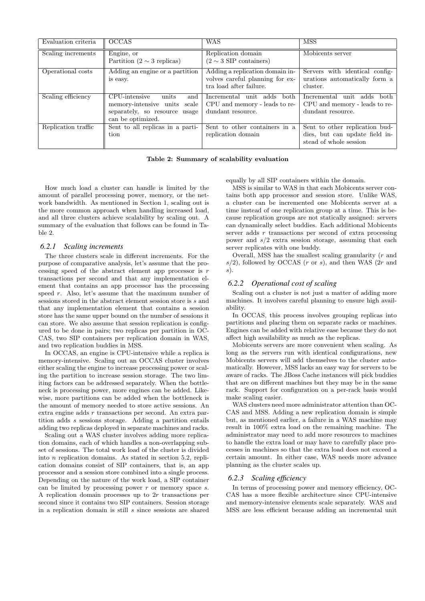| Evaluation criteria | OCCAS                            | WAS                             | MSS                            |
|---------------------|----------------------------------|---------------------------------|--------------------------------|
| Scaling increments  | Engine, or                       | Replication domain              | Mobicents server               |
|                     | Partition ( $2 \sim 3$ replicas) | $(2 \sim 3$ SIP containers)     |                                |
| Operational costs   | Adding an engine or a partition  | Adding a replication domain in- | Servers with identical config- |
|                     | is easy.                         | volves careful planning for ex- | urations automatically form a  |
|                     |                                  | tra load after failure.         | cluster.                       |
| Scaling efficiency  | CPU-intensive<br>units<br>and    | Incremental unit adds<br>both   | unit adds both<br>Incremental  |
|                     | memory-intensive units<br>scale  | CPU and memory - leads to re-   | CPU and memory - leads to re-  |
|                     | separately, so resource usage    | dundant resource.               | dundant resource.              |
|                     | can be optimized.                |                                 |                                |
| Replication traffic | Sent to all replicas in a parti- | Sent to other containers in a   | Sent to other replication bud- |
|                     | tion                             | replication domain              | dies, but can update field in- |
|                     |                                  |                                 | stead of whole session         |

Table 2: Summary of scalability evaluation

How much load a cluster can handle is limited by the amount of parallel processing power, memory, or the network bandwidth. As mentioned in Section 1, scaling out is the more common approach when handling increased load, and all three clusters achieve scalability by scaling out. A summary of the evaluation that follows can be found in Table 2.

#### *6.2.1 Scaling increments*

The three clusters scale in different increments. For the purpose of comparative analysis, let's assume that the processing speed of the abstract element app processor is  $r$ transactions per second and that any implementation element that contains an app processor has the processing speed r. Also, let's assume that the maximum number of sessions stored in the abstract element session store is s and that any implementation element that contains a session store has the same upper bound on the number of sessions it can store. We also assume that session replication is configured to be done in pairs; two replicas per partition in OC-CAS, two SIP containers per replication domain in WAS, and two replication buddies in MSS.

In OCCAS, an engine is CPU-intensive while a replica is memory-intensive. Scaling out an OCCAS cluster involves either scaling the engine to increase processing power or scaling the partition to increase session storage. The two limiting factors can be addressed separately. When the bottleneck is processing power, more engines can be added. Likewise, more partitions can be added when the bottleneck is the amount of memory needed to store active sessions. An extra engine adds r transactions per second. An extra partition adds s sessions storage. Adding a partition entails adding two replicas deployed in separate machines and racks.

Scaling out a WAS cluster involves adding more replication domains, each of which handles a non-overlapping subset of sessions. The total work load of the cluster is divided into n replication domains. As stated in section 5.2, replication domains consist of SIP containers, that is, an app processor and a session store combined into a single process. Depending on the nature of the work load, a SIP container can be limited by processing power  $r$  or memory space  $s$ . A replication domain processes up to 2r transactions per second since it contains two SIP containers. Session storage in a replication domain is still  $s$  since sessions are shared equally by all SIP containers within the domain.

MSS is similar to WAS in that each Mobicents server contains both app processor and session store. Unlike WAS, a cluster can be incremented one Mobicents server at a time instead of one replication group at a time. This is because replication groups are not statically assigned: servers can dynamically select buddies. Each additional Mobicents server adds  $r$  transactions per second of extra processing power and  $s/2$  extra session storage, assuming that each server replicates with one buddy.

Overall, MSS has the smallest scaling granularity (r and  $s/2$ ), followed by OCCAS (r or s), and then WAS (2r and s).

#### *6.2.2 Operational cost of scaling*

Scaling out a cluster is not just a matter of adding more machines. It involves careful planning to ensure high availability.

In OCCAS, this process involves grouping replicas into partitions and placing them on separate racks or machines. Engines can be added with relative ease because they do not affect high availability as much as the replicas.

Mobicents servers are more convenient when scaling. As long as the servers run with identical configurations, new Mobicents servers will add themselves to the cluster automatically. However, MSS lacks an easy way for servers to be aware of racks. The JBoss Cache instances will pick buddies that are on different machines but they may be in the same rack. Support for configuration on a per-rack basis would make scaling easier.

WAS clusters need more administrator attention than OC-CAS and MSS. Adding a new replication domain is simple but, as mentioned earlier, a failure in a WAS machine may result in 100% extra load on the remaining machine. The administrator may need to add more resources to machines to handle the extra load or may have to carefully place processes in machines so that the extra load does not exceed a certain amount. In either case, WAS needs more advance planning as the cluster scales up.

#### *6.2.3 Scaling efficiency*

In terms of processing power and memory efficiency, OC-CAS has a more flexible architecture since CPU-intensive and memory-intensive elements scale separately. WAS and MSS are less efficient because adding an incremental unit